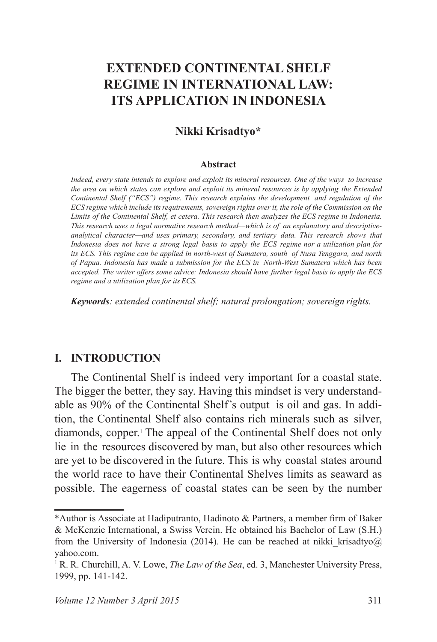# **EXTENDED CONTINENTAL SHELF REGIME IN INTERNATIONAL LAW: ITS APPLICATION IN INDONESIA**

#### **Nikki Krisadtyo\***

#### **Abstract**

*Indeed, every state intends to explore and exploit its mineral resources. One of the ways to increase the area on which states can explore and exploit its mineral resources is by applying the Extended Continental Shelf ("ECS") regime. This research explains the development and regulation of the ECS regime which include its requirements, sovereign rights over it, the role of the Commission on the Limits of the Continental Shelf, et cetera. This research then analyzes the ECS regime in Indonesia. This research uses a legal normative research method—which is of an explanatory and descriptiveanalytical character—and uses primary, secondary, and tertiary data. This research shows that Indonesia does not have a strong legal basis to apply the ECS regime nor a utilization plan for its ECS. This regime can be applied in north-west of Sumatera, south of Nusa Tenggara, and north of Papua. Indonesia has made a submission for the ECS in North-West Sumatera which has been accepted. The writer offers some advice: Indonesia should have further legal basis to apply the ECS regime and a utilization plan for its ECS.*

*Keywords: extended continental shelf; natural prolongation; sovereign rights.*

#### **I. INTRODUCTION**

The Continental Shelf is indeed very important for a coastal state. The bigger the better, they say. Having this mindset is very understandable as 90% of the Continental Shelf's output is oil and gas. In addition, the Continental Shelf also contains rich minerals such as silver, diamonds, copper.<sup>1</sup> The appeal of the Continental Shelf does not only lie in the resources discovered by man, but also other resources which are yet to be discovered in the future. This is why coastal states around the world race to have their Continental Shelves limits as seaward as possible. The eagerness of coastal states can be seen by the number

<sup>\*</sup>Author is Associate at Hadiputranto, Hadinoto & Partners, a member firm of Baker & McKenzie International, a Swiss Verein. He obtained his Bachelor of Law (S.H.) from the University of Indonesia (2014). He can be reached at nikki krisadtyo $@$ yahoo.com.

<sup>&</sup>lt;sup>1</sup> R. R. Churchill, A. V. Lowe, *The Law of the Sea*, ed. 3, Manchester University Press, 1999, pp. 141-142.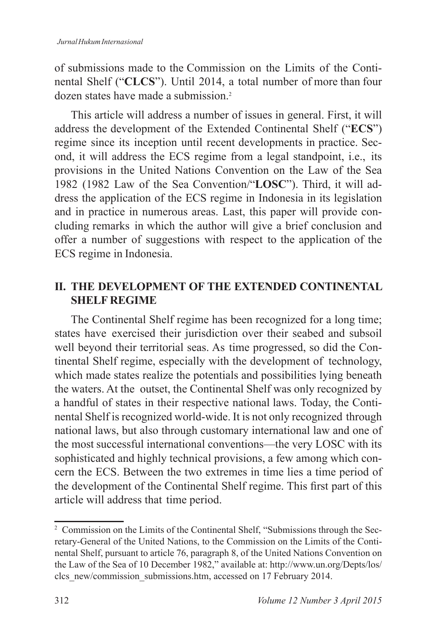of submissions made to the Commission on the Limits of the Continental Shelf ("CLCS"). Until 2014, a total number of more than four dozen states have made a submission<sup>2</sup>

This article will address a number of issues in general. First, it will address the development of the Extended Continental Shelf ("**ECS**") regime since its inception until recent developments in practice. Second, it will address the ECS regime from a legal standpoint, i.e., its provisions in the United Nations Convention on the Law of the Sea 1982 (1982 Law of the Sea Convention/"LOSC"). Third, it will address the application of the ECS regime in Indonesia in its legislation and in practice in numerous areas. Last, this paper will provide concluding remarks in which the author will give a brief conclusion and offer a number of suggestions with respect to the application of the ECS regime in Indonesia.

# **II. THE DEVELOPMENT OF THE EXTENDED CONTINENTAL SHELF REGIME**

The Continental Shelf regime has been recognized for a long time; states have exercised their jurisdiction over their seabed and subsoil well beyond their territorial seas. As time progressed, so did the Continental Shelf regime, especially with the development of technology, which made states realize the potentials and possibilities lying beneath the waters. At the outset, the Continental Shelf was only recognized by a handful of states in their respective national laws. Today, the Continental Shelf is recognized world-wide. It is not only recognized through national laws, but also through customary international law and one of the most successful international conventions—the very LOSC with its sophisticated and highly technical provisions, a few among which concern the ECS. Between the two extremes in time lies a time period of the development of the Continental Shelf regime. This first part of this article will address that time period.

<sup>&</sup>lt;sup>2</sup> Commission on the Limits of the Continental Shelf, "Submissions through the Secretary-General of the United Nations, to the Commission on the Limits of the Continental Shelf, pursuant to article 76, paragraph 8, of the United Nations Convention on the Law of the Sea of 10 December 1982," available at: http://www.un.org/Depts/los/ clcs new/commission submissions.htm, accessed on 17 February 2014.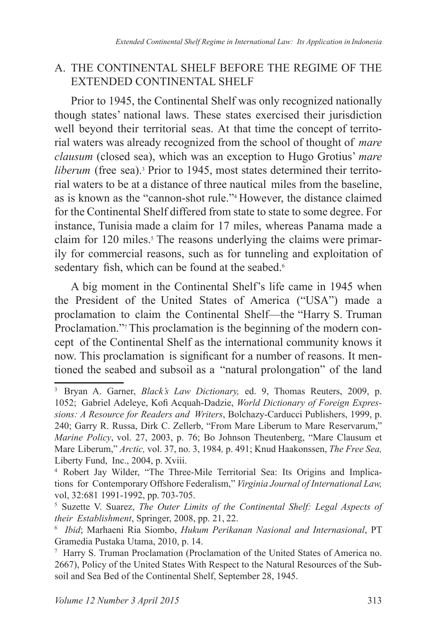#### A. THE CONTINENTAL SHELF BEFORE THE REGIME OF THE EXTENDED CONTINENTAL SHELF

Prior to 1945, the Continental Shelf was only recognized nationally though states' national laws. These states exercised their jurisdiction well beyond their territorial seas. At that time the concept of territorial waters was already recognized from the school of thought of *mare clausum* (closed sea), which was an exception to Hugo Grotius' *mare liberum* (free sea).<sup>3</sup> Prior to 1945, most states determined their territorial waters to be at a distance of three nautical miles from the baseline, as is known as the "cannon-shot rule."<sup>4</sup> However, the distance claimed for the Continental Shelf differed from state to state to some degree. For instance, Tunisia made a claim for 17 miles, whereas Panama made a claim for 120 miles.<sup>5</sup> The reasons underlying the claims were primarily for commercial reasons, such as for tunneling and exploitation of sedentary fish, which can be found at the seabed.<sup>6</sup>

A big moment in the Continental Shelf's life came in 1945 when the President of the United States of America ("USA") made a proclamation to claim the Continental Shelf—the "Harry S. Truman Proclamation."<sup>7</sup> This proclamation is the beginning of the modern concept of the Continental Shelf as the international community knows it now. This proclamation is significant for a number of reasons. It mentioned the seabed and subsoil as a "natural prolongation" of the land

<sup>&</sup>lt;sup>3</sup> Bryan A. Garner, *Black's Law Dictionary*, ed. 9, Thomas Reuters, 2009, p. 1052; Gabriel Adeleye, Kofi Acquah-Dadzie, World Dictionary of Foreign Expres*sions: A Resource for Readers and Writers*, Bolchazy-Carducci Publishers, 1999, p. 240; Garry R. Russa, Dirk C. Zellerb, "From Mare Liberum to Mare Reservarum," *Marine Policy*, vol. 27, 2003, p. 76; Bo Johnson Theutenberg, "Mare Clausum et Mare Liberum," Arctic, vol. 37, no. 3, 1984, p. 491; Knud Haakonssen, *The Free Sea*, Liberty Fund, Inc., 2004, p. Xviii.

<sup>4</sup> Robert Jay Wilder, "The Three-Mile Territorial Sea: Its Origins and Implications for Contemporary Offshore Federalism," *Virginia Journal of International Law,*  vol, 32:681 1991-1992, pp. 703-705.

<sup>&</sup>lt;sup>5</sup> Suzette V. Suarez, The Outer Limits of the Continental Shelf: Legal Aspects of *their Establishment*, Springer, 2008, pp. 21, 22.

 *Ibid*; Marhaeni Ria Siombo, *Hukum Perikanan Nasional and Internasional*, PT Gramedia Pustaka Utama, 2010, p. 14.

<sup>7</sup> Harry S. Truman Proclamation (Proclamation of the United States of America no. 2667), Policy of the United States With Respect to the Natural Resources of the Subsoil and Sea Bed of the Continental Shelf, September 28, 1945.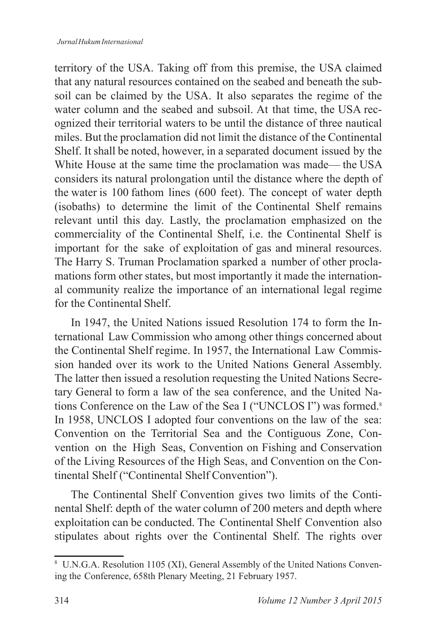territory of the USA. Taking off from this premise, the USA claimed that any natural resources contained on the seabed and beneath the subsoil can be claimed by the USA. It also separates the regime of the water column and the seabed and subsoil. At that time, the USA recognized their territorial waters to be until the distance of three nautical miles. But the proclamation did not limit the distance of the Continental Shelf. It shall be noted, however, in a separated document issued by the White House at the same time the proclamation was made— the USA considers its natural prolongation until the distance where the depth of the water is 100 fathom lines (600 feet). The concept of water depth (isobaths) to determine the limit of the Continental Shelf remains relevant until this day. Lastly, the proclamation emphasized on the commerciality of the Continental Shelf, i.e. the Continental Shelf is important for the sake of exploitation of gas and mineral resources. The Harry S. Truman Proclamation sparked a number of other proclamations form other states, but most importantly it made the international community realize the importance of an international legal regime for the Continental Shelf.

In 1947, the United Nations issued Resolution 174 to form the International Law Commission who among other things concerned about the Continental Shelf regime. In 1957, the International Law Commission handed over its work to the United Nations General Assembly. The latter then issued a resolution requesting the United Nations Secretary General to form a law of the sea conference, and the United Nations Conference on the Law of the Sea I ("UNCLOS I") was formed. In 1958, UNCLOS I adopted four conventions on the law of the sea: Convention on the Territorial Sea and the Contiguous Zone, Convention on the High Seas, Convention on Fishing and Conservation of the Living Resources of the High Seas, and Convention on the Continental Shelf ("Continental Shelf Convention").

The Continental Shelf Convention gives two limits of the Continental Shelf: depth of the water column of 200 meters and depth where exploitation can be conducted. The Continental Shelf Convention also stipulates about rights over the Continental Shelf. The rights over

 $8$  U.N.G.A. Resolution 1105 (XI), General Assembly of the United Nations Convening the Conference, 658th Plenary Meeting, 21 February 1957.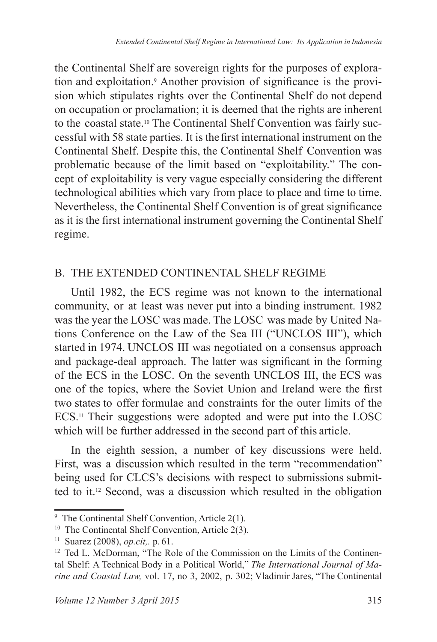the Continental Shelf are sovereign rights for the purposes of exploration and exploitation.<sup>9</sup> Another provision of significance is the provision which stipulates rights over the Continental Shelf do not depend on occupation or proclamation; it is deemed that the rights are inherent to the coastal state.10 The Continental Shelf Convention was fairly successful with 58 state parties. It is the first international instrument on the Continental Shelf. Despite this, the Continental Shelf Convention was problematic because of the limit based on "exploitability." The concept of exploitability is very vague especially considering the different technological abilities which vary from place to place and time to time. Nevertheless, the Continental Shelf Convention is of great significance as it is the first international instrument governing the Continental Shelf regime.

# B. THE EXTENDED CONTINENTAL SHELF REGIME

Until 1982, the ECS regime was not known to the international community, or at least was never put into a binding instrument. 1982 was the year the LOSC was made. The LOSC was made by United Nations Conference on the Law of the Sea III ("UNCLOS III"), which started in 1974. UNCLOS III was negotiated on a consensus approach and package-deal approach. The latter was significant in the forming of the ECS in the LOSC. On the seventh UNCLOS III, the ECS was one of the topics, where the Soviet Union and Ireland were the first two states to offer formulae and constraints for the outer limits of the ECS.<sup>11</sup> Their suggestions were adopted and were put into the LOSC which will be further addressed in the second part of this article.

In the eighth session, a number of key discussions were held. First, was a discussion which resulted in the term "recommendation" being used for CLCS's decisions with respect to submissions submitted to it.<sup>12</sup> Second, was a discussion which resulted in the obligation

<sup>&</sup>lt;sup>9</sup> The Continental Shelf Convention, Article  $2(1)$ .

<sup>&</sup>lt;sup>10</sup> The Continental Shelf Convention, Article  $2(3)$ .

<sup>&</sup>lt;sup>11</sup> Suarez (2008), *op.cit.*, p. 61.

<sup>&</sup>lt;sup>12</sup> Ted L. McDorman, "The Role of the Commission on the Limits of the Continental Shelf: A Technical Body in a Political World," *The International Journal of Marine and Coastal Law, vol.* 17, no 3, 2002, p. 302; Vladimir Jares, "The Continental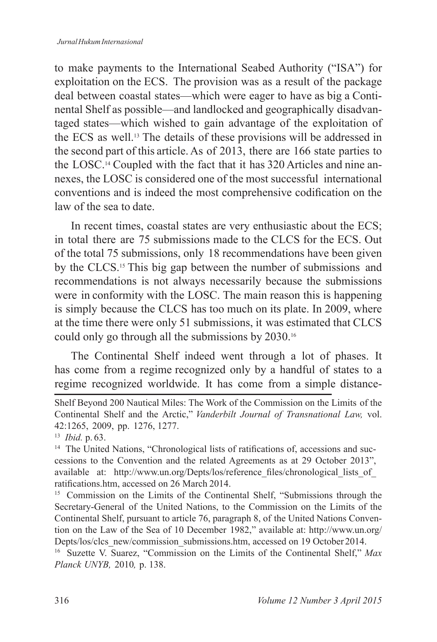to make payments to the International Seabed Authority ("ISA") for exploitation on the ECS. The provision was as a result of the package deal between coastal states—which were eager to have as big a Continental Shelf as possible—and landlocked and geographically disadvantaged states—which wished to gain advantage of the exploitation of the ECS as well.<sup>13</sup> The details of these provisions will be addressed in the second part of this article. As of 2013, there are 166 state parties to the LOSC.<sup>14</sup> Coupled with the fact that it has 320 Articles and nine annexes, the LOSC is considered one of the most successful international conventions and is indeed the most comprehensive codification on the law of the sea to date.

In recent times, coastal states are very enthusiastic about the ECS; in total there are  $75$  submissions made to the CLCS for the ECS. Out of the total 75 submissions, only 18 recommendations have been given by the CLCS.<sup>15</sup> This big gap between the number of submissions and recommendations is not always necessarily because the submissions were in conformity with the LOSC. The main reason this is happening is simply because the CLCS has too much on its plate. In 2009, where at the time there were only 51 submissions, it was estimated that CLCS could only go through all the submissions by  $2030.^{16}$ 

The Continental Shelf indeed went through a lot of phases. It has come from a regime recognized only by a handful of states to a regime recognized worldwide. It has come from a simple distance-

<sup>15</sup> Commission on the Limits of the Continental Shelf, "Submissions through the Secretary-General of the United Nations, to the Commission on the Limits of the Continental Shelf, pursuant to article 76, paragraph 8, of the United Nations Convention on the Law of the Sea of 10 December 1982," available at: http://www.un.org/ Depts/los/clcs\_new/commission\_submissions.htm, accessed on 19 October 2014.

<sup>16</sup> Suzette V. Suarez, "Commission on the Limits of the Continental Shelf," Max *Planck UNYB*, 2010, p. 138.

Shelf Beyond 200 Nautical Miles: The Work of the Commission on the Limits of the Continental Shelf and the Arctic," *Vanderbilt Journal of Transnational Law,* vol. 42:1265, 2009, pp. 1276, 1277.

<sup>&</sup>lt;sup>13</sup> *Ibid.* p. 63.

<sup>&</sup>lt;sup>14</sup> The United Nations, "Chronological lists of ratifications of, accessions and successions to the Convention and the related Agreements as at 29 October 2013", available at: http://www.un.org/Depts/los/reference files/chronological lists of ratifications.htm, accessed on 26 March 2014.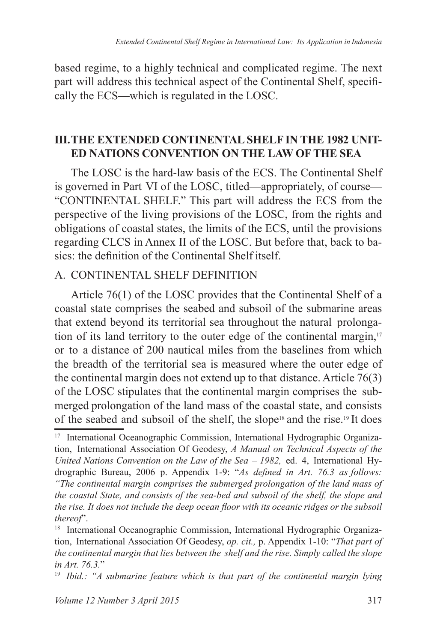based regime, to a highly technical and complicated regime. The next part will address this technical aspect of the Continental Shelf, specifically the ECS—which is regulated in the LOSC.

### **III. THE EXTENDED CONTINENTAL SHELF IN THE 1982 UNIT-ED NATIONS CONVENTION ON THE LAW OF THE SEA**

The LOSC is the hard-law basis of the ECS. The Continental Shelf is governed in Part VI of the LOSC, titled—appropriately, of course— "CONTINENTAL SHELF." This part will address the ECS from the perspective of the living provisions of the LOSC, from the rights and obligations of coastal states, the limits of the ECS, until the provisions regarding CLCS in Annex II of the LOSC. But before that, back to basics: the definition of the Continental Shelf itself

# A. CONTINENTAL SHELF DEFINITION

Article  $76(1)$  of the LOSC provides that the Continental Shelf of a coastal state comprises the seabed and subsoil of the submarine areas that extend beyond its territorial sea throughout the natural prolongation of its land territory to the outer edge of the continental margin,<sup>17</sup> or to a distance of 200 nautical miles from the baselines from which the breadth of the territorial sea is measured where the outer edge of the continental margin does not extend up to that distance. Article  $76(3)$ of the LOSC stipulates that the continental margin comprises the submerged prolongation of the land mass of the coastal state, and consists of the seabed and subsoil of the shelf, the slope<sup>18</sup> and the rise.<sup>19</sup> It does

<sup>&</sup>lt;sup>17</sup> International Oceanographic Commission, International Hydrographic Organization, International Association Of Geodesy, *A Manual on Technical Aspects of the United Nations Convention on the Law of the Sea – 1982,* ed. 4, International Hydrographic Bureau, 2006 p. Appendix 1-9: "As defined in Art. 76.3 as follows: *"The continental margin comprises the submerged prolongation of the land mass of the coastal State, and consists of the sea-bed and subsoil of the shelf, the slope and the rise. It does not include the deep ocean floor with its oceanic ridges or the subsoil thereof*".

<sup>&</sup>lt;sup>18</sup> International Oceanographic Commission, International Hydrographic Organization, International Association Of Geodesy, *op. cit.,* p. Appendix 1-10: "*That part of the continental margin that lies between the shelf and the rise. Simply called the slope in Art.* 76.3."

<sup>&</sup>lt;sup>19</sup> Ibid.: "A submarine feature which is that part of the continental margin lying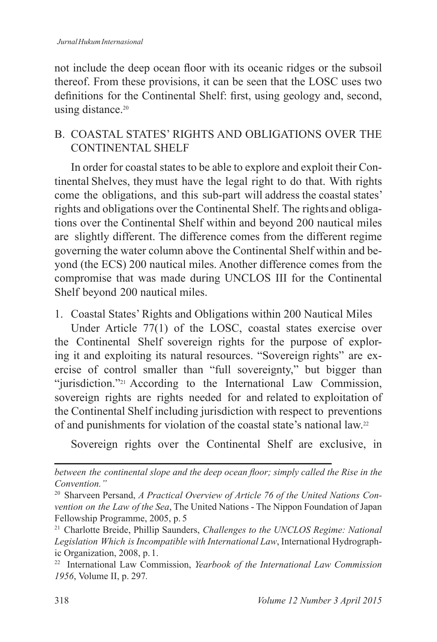not include the deep ocean floor with its oceanic ridges or the subsoil thereof. From these provisions, it can be seen that the LOSC uses two definitions for the Continental Shelf: first, using geology and, second, using distance.<sup>20</sup>

# B. COASTAL STATES' RIGHTS AND OBLIGATIONS OVER THE CONTINENTAL SHELF

In order for coastal states to be able to explore and exploit their Continental Shelves, they must have the legal right to do that. With rights come the obligations, and this sub-part will address the coastal states' rights and obligations over the Continental Shelf. The rights and obligations over the Continental Shelf within and beyond 200 nautical miles are slightly different. The difference comes from the different regime governing the water column above the Continental Shelf within and be yond (the ECS) 200 nautical miles. Another difference comes from the compromise that was made during UNCLOS III for the Continental Shelf beyond 200 nautical miles.

1. Coastal States' Rights and Obligations within 200 Nautical Miles

Under Article 77(1) of the LOSC, coastal states exercise over the Continental Shelf sovereign rights for the purpose of exploring it and exploiting its natural resources. "Sovereign rights" are exercise of control smaller than "full sovereignty," but bigger than "jurisdiction."<sup>21</sup> According to the International Law Commission, sovereign rights are rights needed for and related to exploitation of the Continental Shelf including jurisdiction with respect to preventions of and punishments for violation of the coastal state's national law.

Sovereign rights over the Continental Shelf are exclusive, in

*between the continental slope and the deep ocean floor; simply called the Rise in the Convention."*

<sup>&</sup>lt;sup>20</sup> Sharveen Persand, *A Practical Overview of Article 76 of the United Nations Convention on the Law of the Sea*, The United Nations - The Nippon Foundation of Japan Fellowship Programme, 2005, p. 5

Charlotte Breide, Phillip Saunders, *Challenges to the UNCLOS Regime: National Legislation Which is Incompatible with International Law*, International Hydrographic Organization,  $2008$ , p. 1.

<sup>&</sup>lt;sup>22</sup> International Law Commission, *Yearbook of the International Law Commission* 1956, Volume II, p. 297.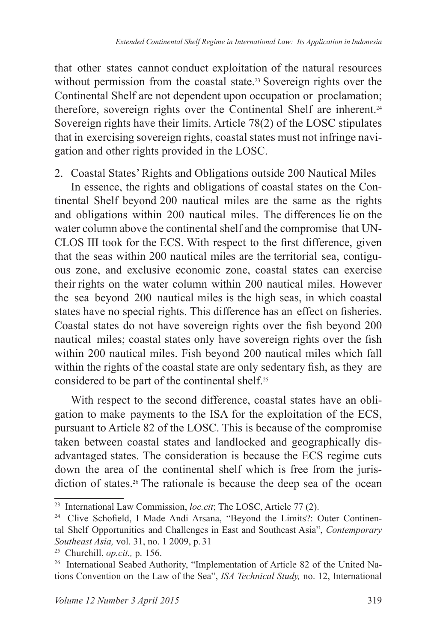that other states cannot conduct exploitation of the natural resources without permission from the coastal state.<sup>23</sup> Sovereign rights over the Continental Shelf are not dependent upon occupation or proclamation; therefore, sovereign rights over the Continental Shelf are inherent. Sovereign rights have their limits. Article  $78(2)$  of the LOSC stipulates that in exercising sovereign rights, coastal states must not infringe navigation and other rights provided in the LOSC.

2. Coastal States' Rights and Obligations outside 200 Nautical Miles

In essence, the rights and obligations of coastal states on the Continental Shelf beyond 200 nautical miles are the same as the rights and obligations within 200 nautical miles. The differences lie on the water column above the continental shelf and the compromise that UN- CLOS III took for the ECS. With respect to the first difference, given that the seas within 200 nautical miles are the territorial sea, contiguous zone, and exclusive economic zone, coastal states can exercise their rights on the water column within 200 nautical miles. However the sea beyond 200 nautical miles is the high seas, in which coastal states have no special rights. This difference has an effect on fisheries. Coastal states do not have sovereign rights over the fish beyond 200 nautical miles; coastal states only have sovereign rights over the fish within 200 nautical miles. Fish beyond 200 nautical miles which fall within the rights of the coastal state are only sedentary fish, as they are considered to be part of the continental shelf.

With respect to the second difference, coastal states have an obligation to make payments to the ISA for the exploitation of the ECS, pursuant to Article 82 of the LOSC. This is because of the compromise taken between coastal states and landlocked and geographically disadvantaged states. The consideration is because the ECS regime cuts down the area of the continental shelf which is free from the jurisdiction of states.<sup>26</sup> The rationale is because the deep sea of the ocean

<sup>&</sup>lt;sup>23</sup> International Law Commission, *loc.cit*; The LOSC, Article 77 (2).

<sup>&</sup>lt;sup>24</sup> Clive Schofield, I Made Andi Arsana, "Beyond the Limits?: Outer Continental Shelf Opportunities and Challenges in East and Southeast Asia", *Contemporary Southeast Asia*, vol. 31, no. 1 2009, p. 31

<sup>&</sup>lt;sup>25</sup> Churchill, *op.cit.*, p. 156.

<sup>&</sup>lt;sup>26</sup> International Seabed Authority, "Implementation of Article 82 of the United Nations Convention on the Law of the Sea", *ISA Technical Study*, no. 12, International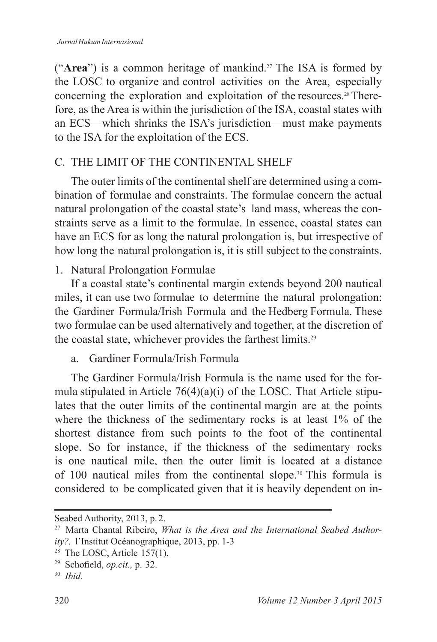("Area") is a common heritage of mankind.<sup>27</sup> The ISA is formed by the LOSC to organize and control activities on the Area, especially concerning the exploration and exploitation of the resources. $28$  Therefore, as the Area is within the jurisdiction of the ISA, coastal states with an ECS—which shrinks the ISA's jurisdiction—must make payments to the ISA for the exploitation of the ECS.

# C. THE LIMIT OF THE CONTINENTAL SHELF

The outer limits of the continental shelf are determined using a combination of formulae and constraints. The formulae concern the actual natural prolongation of the coastal state's land mass, whereas the constraints serve as a limit to the formulae. In essence, coastal states can have an ECS for as long the natural prolongation is, but irrespective of how long the natural prolongation is, it is still subject to the constraints.

1. Natural Prolongation Formulae

If a coastal state's continental margin extends beyond 200 nautical miles, it can use two formulae to determine the natural prolongation: the Gardiner Formula/Irish Formula and the Hedberg Formula. These two formulae can be used alternatively and together, at the discretion of the coastal state, whichever provides the farthest limits.

#### a. Gardiner Formula/Irish Formula

The Gardiner Formula/Irish Formula is the name used for the formula stipulated in Article  $76(4)(a)(i)$  of the LOSC. That Article stipulates that the outer limits of the continental margin are at the points where the thickness of the sedimentary rocks is at least  $1\%$  of the shortest distance from such points to the foot of the continental slope. So for instance, if the thickness of the sedimentary rocks is one nautical mile, then the outer limit is located at a distance of 100 nautical miles from the continental slope.<sup>30</sup> This formula is considered to be complicated given that it is heavily dependent on in-

Seabed Authority, 2013, p. 2.

Marta Chantal Ribeiro, *What is the Area and the International Seabed Authority?*, l'Institut Océanographique, 2013, pp. 1-3

<sup>&</sup>lt;sup>28</sup> The LOSC, Article  $157(1)$ .

<sup>&</sup>lt;sup>29</sup> Schofield, *op.cit.*, p. 32.

<sup>30</sup> *Ibid.*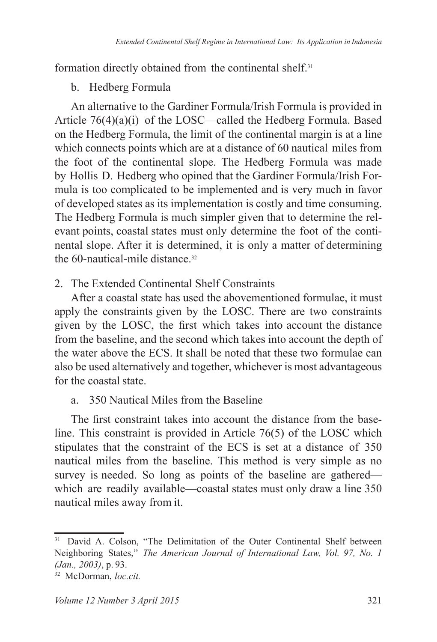formation directly obtained from the continental shelf.<sup>31</sup>

# b. Hedberg Formula

An alternative to the Gardiner Formula/Irish Formula is provided in Article  $76(4)(a)(i)$  of the LOSC—called the Hedberg Formula. Based on the Hedberg Formula, the limit of the continental margin is at a line which connects points which are at a distance of 60 nautical miles from the foot of the continental slope. The Hedberg Formula was made by Hollis D. Hedberg who opined that the Gardiner Formula/Irish Formula is too complicated to be implemented and is very much in favor of developed states as its implementation is costly and time consuming. The Hedberg Formula is much simpler given that to determine the relevant points, coastal states must only determine the foot of the continental slope. After it is determined, it is only a matter of determining the  $60$ -nautical-mile distance  $32$ 

# 2. The Extended Continental Shelf Constraints

After a coastal state has used the abovementioned formulae, it must apply the constraints given by the LOSC. There are two constraints given by the LOSC, the first which takes into account the distance from the baseline, and the second which takes into account the depth of the water above the ECS. It shall be noted that these two formulae can also be used alternatively and together, whichever is most advantageous for the coastal state.

# a 350 Nautical Miles from the Baseline

The first constraint takes into account the distance from the baseline. This constraint is provided in Article  $76(5)$  of the LOSC which stipulates that the constraint of the ECS is set at a distance of 350 nautical miles from the baseline. This method is very simple as no survey is needed. So long as points of the baseline are gathered which are readily available—coastal states must only draw a line 350 nautical miles away from it.

<sup>&</sup>lt;sup>31</sup> David A. Colson, "The Delimitation of the Outer Continental Shelf between Neighboring States," *The American Journal of International Law, Vol. 97, No. 1 (Jan., 2003)*, p. 93.

McDorman, *loc.cit.*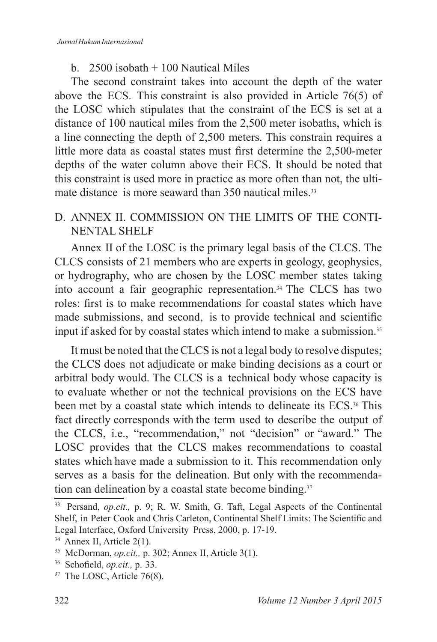# b  $2500$  isobath  $+100$  Nautical Miles

The second constraint takes into account the depth of the water above the ECS. This constraint is also provided in Article  $76(5)$  of the LOSC which stipulates that the constraint of the ECS is set at a distance of 100 nautical miles from the  $2,500$  meter isobaths, which is a line connecting the depth of 2,500 meters. This constrain requires a little more data as coastal states must first determine the 2.500-meter depths of the water column above their ECS. It should be noted that this constraint is used more in practice as more often than not, the ultimate distance is more seaward than  $350$  nautical miles  $33$ 

# D. ANNEX II. COMMISSION ON THE LIMITS OF THE CONTI-NENTAL SHELF

Annex II of the LOSC is the primary legal basis of the CLCS. The CLCS consists of 21 members who are experts in geology, geophysics, or hydrography, who are chosen by the LOSC member states taking into account a fair geographic representation.<sup>34</sup> The CLCS has two roles: first is to make recommendations for coastal states which have made submissions, and second, is to provide technical and scientific input if asked for by coastal states which intend to make a submission.

It must be noted that the CLCS is not a legal body to resolve disputes; the CLCS does not adjudicate or make binding decisions as a court or arbitral body would. The CLCS is a technical body whose capacity is to evaluate whether or not the technical provisions on the ECS have been met by a coastal state which intends to delineate its ECS.<sup>36</sup> This fact directly corresponds with the term used to describe the output of the CLCS, i.e., "recommendation," not "decision" or "award." The LOSC provides that the CLCS makes recommendations to coastal states which have made a submission to it. This recommendation only serves as a basis for the delineation. But only with the recommendation can delineation by a coastal state become binding.<sup>37</sup>

<sup>33</sup> Persand, *op.cit.,* p. 9; R. W. Smith, G. Taft, Legal Aspects of the Continental Shelf, in Peter Cook and Chris Carleton, Continental Shelf Limits: The Scientific and Legal Interface, Oxford University Press, 2000, p. 17-19.

 $34$  Annex II, Article 2(1).

<sup>&</sup>lt;sup>35</sup> McDorman, *op.cit.*, p. 302; Annex II, Article 3(1).

<sup>&</sup>lt;sup>36</sup> Schofield, *op.cit.*, p. 33.

 $37$  The LOSC, Article 76(8).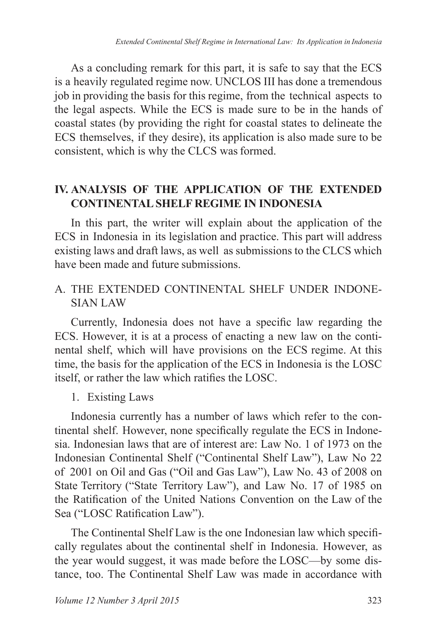As a concluding remark for this part, it is safe to say that the ECS is a heavily regulated regime now. UNCLOS III has done a tremendous job in providing the basis for this regime, from the technical aspects to the legal aspects. While the ECS is made sure to be in the hands of coastal states (by providing the right for coastal states to delineate the ECS themselves, if they desire), its application is also made sure to be consistent, which is why the CLCS was formed.

# **IV. ANALYSIS OF THE APPLICATION OF THE EXTENDED CONTINENTAL SHELF REGIME IN INDONESIA**

In this part, the writer will explain about the application of the ECS in Indonesia in its legislation and practice. This part will address existing laws and draft laws, as well as submissions to the CLCS which have been made and future submissions.

# A. THE EXTENDED CONTINENTAL SHELF UNDER INDONE-SIAN LAW

Currently, Indonesia does not have a specific law regarding the ECS. However, it is at a process of enacting a new law on the continental shelf, which will have provisions on the ECS regime. At this time, the basis for the application of the ECS in Indonesia is the LOSC itself, or rather the law which ratifies the LOSC.

### 1. Existing Laws

Indonesia currently has a number of laws which refer to the continental shelf. However, none specifically regulate the ECS in Indonesia. Indonesian laws that are of interest are: Law No. 1 of 1973 on the Indonesian Continental Shelf ("Continental Shelf Law"), Law No 22 of 2001 on Oil and Gas ("Oil and Gas Law"), Law No. 43 of 2008 on State Territory ("State Territory Law"), and Law No. 17 of 1985 on the Ratification of the United Nations Convention on the Law of the Sea ("LOSC Ratification Law").

The Continental Shelf Law is the one Indonesian law which specifically regulates about the continental shelf in Indonesia. However, as the year would suggest, it was made before the LOSC—by some distance, too. The Continental Shelf Law was made in accordance with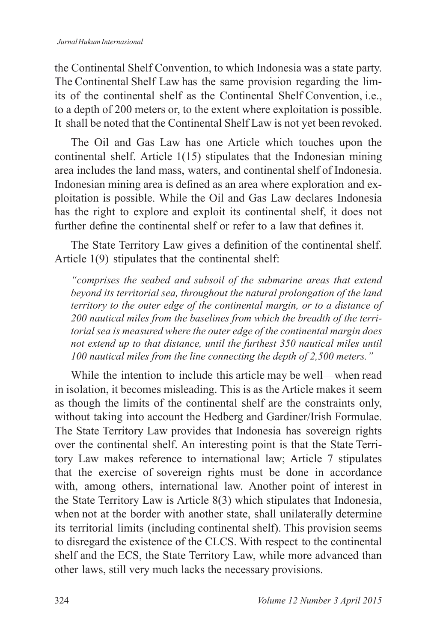the Continental Shelf Convention, to which Indonesia was a state party. The Continental Shelf Law has the same provision regarding the limits of the continental shelf as the Continental Shelf Convention, i.e., to a depth of 200 meters or, to the extent where exploitation is possible. It shall be noted that the Continental Shelf Law is not yet been revoked.

The Oil and Gas Law has one Article which touches upon the continental shelf. Article  $1(15)$  stipulates that the Indonesian mining area includes the land mass, waters, and continental shelf of Indonesia. Indonesian mining area is defined as an area where exploration and exploitation is possible. While the Oil and Gas Law declares Indonesia has the right to explore and exploit its continental shelf, it does not further define the continental shelf or refer to a law that defines it

The State Territory Law gives a definition of the continental shelf. Article 1(9) stipulates that the continental shelf:

*"comprises the seabed and subsoil of the submarine areas that extend beyond its territorial sea, throughout the natural prolongation of the land territory to the outer edge of the continental margin, or to a distance of 200 nautical miles from the baselines from which the breadth of the territorial sea is measured where the outer edge of the continental margin does not extend up to that distance, until the furthest 350 nautical miles until 100 nautical miles from the line connecting the depth of 2,500 meters."*

While the intention to include this article may be well—when read in isolation, it becomes misleading. This is as the Article makes it seem as though the limits of the continental shelf are the constraints only, without taking into account the Hedberg and Gardiner/Irish Formulae. The State Territory Law provides that Indonesia has sovereign rights over the continental shelf. An interesting point is that the State Territory Law makes reference to international law; Article 7 stipulates that the exercise of sovereign rights must be done in accordance with, among others, international law. Another point of interest in the State Territory Law is Article  $8(3)$  which stipulates that Indonesia, when not at the border with another state, shall unilaterally determine its territorial limits (including continental shelf). This provision seems to disregard the existence of the CLCS. With respect to the continental shelf and the ECS, the State Territory Law, while more advanced than other laws, still very much lacks the necessary provisions.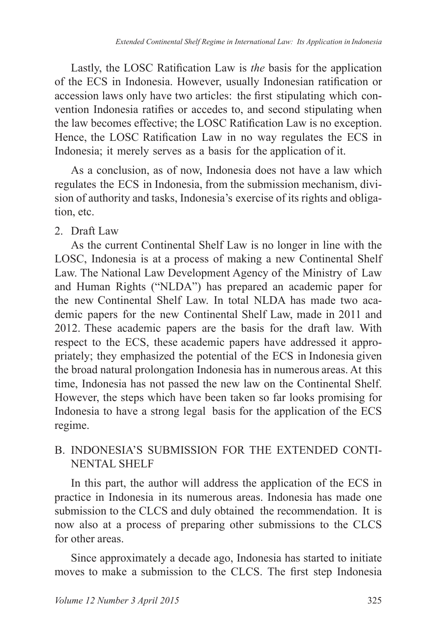Lastly, the LOSC Ratification Law is *the* basis for the application of the ECS in Indonesia. However, usually Indonesian ratification or accession laws only have two articles: the first stipulating which convention Indonesia ratifies or accedes to, and second stipulating when the law becomes effective; the LOSC Ratification Law is no exception. Hence, the LOSC Ratification Law in no way regulates the ECS in Indonesia; it merely serves as a basis for the application of it.

As a conclusion, as of now, Indonesia does not have a law which regulates the ECS in Indonesia, from the submission mechanism, division of authority and tasks, Indonesia's exercise of its rights and obligation, etc.

# 2. Draft Law

As the current Continental Shelf Law is no longer in line with the LOSC, Indonesia is at a process of making a new Continental Shelf Law. The National Law Development Agency of the Ministry of Law and Human Rights ("NLDA") has prepared an academic paper for the new Continental Shelf Law. In total NLDA has made two academic papers for the new Continental Shelf Law, made in 2011 and 2012. These academic papers are the basis for the draft law. With respect to the ECS, these academic papers have addressed it appropriately; they emphasized the potential of the ECS in Indonesia given the broad natural prolongation Indonesia has in numerous areas. At this time, Indonesia has not passed the new law on the Continental Shelf. However, the steps which have been taken so far looks promising for Indonesia to have a strong legal basis for the application of the ECS regime.

# B. INDONESIA'S SUBMISSION FOR THE EXTENDED CONTI-NENTAL SHELF

In this part, the author will address the application of the ECS in practice in Indonesia in its numerous areas. Indonesia has made one submission to the CLCS and duly obtained the recommendation. It is now also at a process of preparing other submissions to the CLCS for other areas.

Since approximately a decade ago, Indonesia has started to initiate moves to make a submission to the CLCS. The first step Indonesia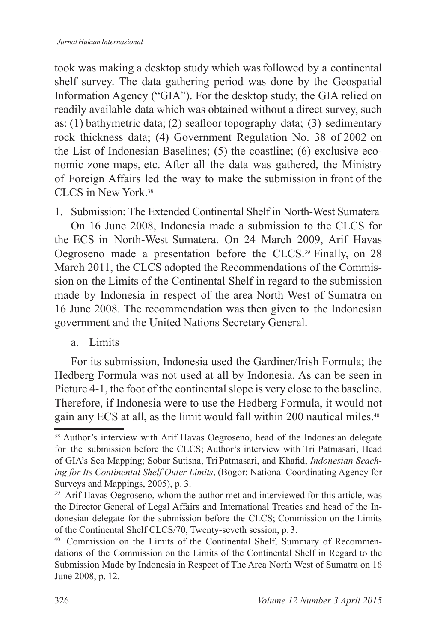took was making a desktop study which was followed by a continental shelf survey. The data gathering period was done by the Geospatial Information Agency ("GIA"). For the desktop study, the GIA relied on readily available data which was obtained without a direct survey, such as: (1) bathymetric data; (2) seafloor topography data; (3) sedimentary rock thickness data; (4) Government Regulation No. 38 of 2002 on the List of Indonesian Baselines; (5) the coastline; (6) exclusive economic zone maps, etc. After all the data was gathered, the Ministry of Foreign Affairs led the way to make the submission in front of the CLCS in New York<sup>38</sup>

1. Submission: The Extended Continental Shelf in North-West Sumatera

On 16 June 2008. Indonesia made a submission to the CLCS for the ECS in North-West Sumatera. On 24 March 2009, Arif Havas Oegroseno made a presentation before the CLCS. $39$  Finally, on 28 March 2011, the CLCS adopted the Recommendations of the Commission on the Limits of the Continental Shelf in regard to the submission made by Indonesia in respect of the area North West of Sumatra on 16 June 2008. The recommendation was then given to the Indonesian government and the United Nations Secretary General.

a. Limits

For its submission, Indonesia used the Gardiner/Irish Formula; the Hedberg Formula was not used at all by Indonesia. As can be seen in Picture 4-1, the foot of the continental slope is very close to the baseline. Therefore, if Indonesia were to use the Hedberg Formula, it would not gain any ECS at all, as the limit would fall within 200 nautical miles.<sup>40</sup>

<sup>&</sup>lt;sup>38</sup> Author's interview with Arif Havas Oegroseno, head of the Indonesian delegate for the submission before the CLCS; Author's interview with Tri Patmasari, Head of GIA's Sea Mapping; Sobar Sutisna, Tri Patmasari, and Khafid, *Indonesian Seaching for Its Continental Shelf Outer Limits*, (Bogor: National Coordinating Agency for Surveys and Mappings, 2005), p. 3.

<sup>&</sup>lt;sup>39</sup> Arif Havas Oegroseno, whom the author met and interviewed for this article, was the Director General of Legal Affairs and International Treaties and head of the Indonesian delegate for the submission before the CLCS; Commission on the Limits of the Continental Shelf CLCS/70, Twenty-seveth session, p. 3.

<sup>40</sup> Commission on the Limits of the Continental Shelf, Summary of Recommendations of the Commission on the Limits of the Continental Shelf in Regard to the Submission Made by Indonesia in Respect of The Area North West of Sumatra on 16 June 2008, p. 12.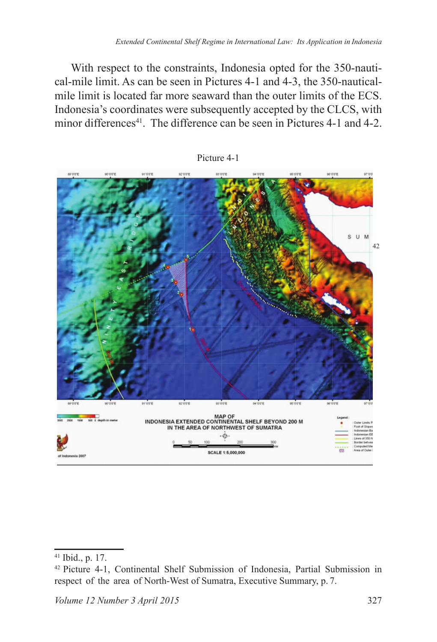With respect to the constraints, Indonesia opted for the 350-nautical-mile limit. As can be seen in Pictures  $4-1$  and  $4-3$ , the 350-nauticalmile limit is located far more seaward than the outer limits of the ECS. Indonesia's coordinates were subsequently accepted by the CLCS, with minor differences<sup>41</sup>. The difference can be seen in Pictures 4-1 and 4-2.



Picture 4-1

<sup>41</sup> Ibid., p. 17.

<sup>&</sup>lt;sup>42</sup> Picture 4-1, Continental Shelf Submission of Indonesia, Partial Submission in respect of the area of North-West of Sumatra, Executive Summary, p. 7.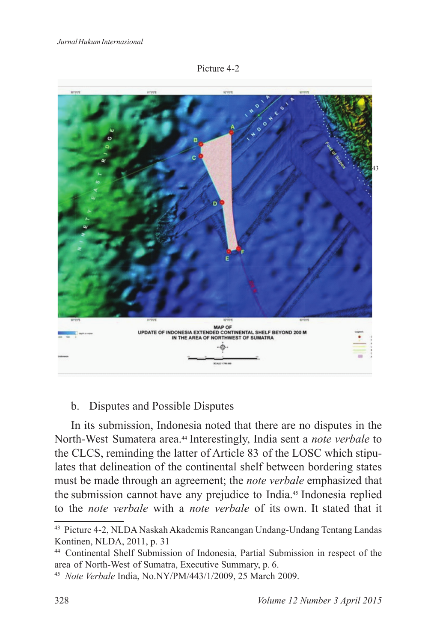



### b. Disputes and Possible Disputes

In its submission, Indonesia noted that there are no disputes in the North-West Sumatera area.<sup>44</sup> Interestingly, India sent a *note verbale* to the CLCS, reminding the latter of Article 83 of the LOSC which stipulates that delineation of the continental shelf between bordering states must be made through an agreement; the *note verbale* emphasized that the submission cannot have any prejudice to India.<sup>45</sup> Indonesia replied to the *note verbale* with a *note verbale* of its own. It stated that it

<sup>&</sup>lt;sup>43</sup> Picture 4-2, NLDA Naskah Akademis Rancangan Undang-Undang Tentang Landas Kontinen, NLDA, 2011, p. 31

<sup>44</sup> Continental Shelf Submission of Indonesia, Partial Submission in respect of the area of North-West of Sumatra, Executive Summary, p. 6.

<sup>&</sup>lt;sup>45</sup> *Note Verbale* India, No.NY/PM/443/1/2009, 25 March 2009.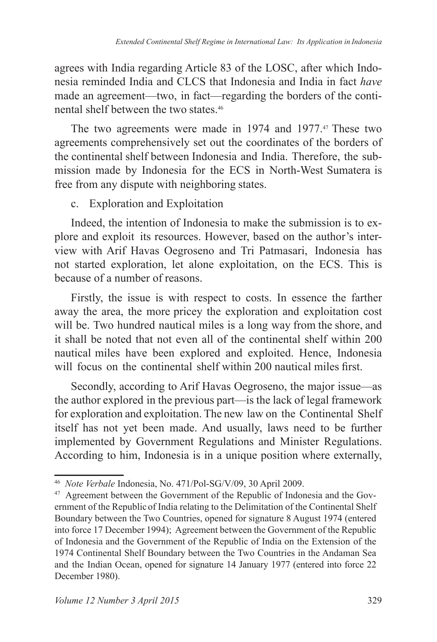agrees with India regarding Article 83 of the LOSC, after which Indonesia reminded India and CLCS that Indonesia and India in fact *have*  made an agreement—two, in fact—regarding the borders of the continental shelf between the two states.

The two agreements were made in 1974 and 1977.<sup>47</sup> These two agreements comprehensively set out the coordinates of the borders of the continental shelf between Indonesia and India. Therefore, the submission made by Indonesia for the ECS in North-West Sumatera is free from any dispute with neighboring states.

### c. Exploration and Exploitation

Indeed, the intention of Indonesia to make the submission is to explore and exploit its resources. However, based on the author's interview with Arif Havas Oegroseno and Tri Patmasari, Indonesia has not started exploration, let alone exploitation, on the ECS. This is because of a number of reasons.

Firstly, the issue is with respect to costs. In essence the farther away the area, the more pricey the exploration and exploitation cost will be. Two hundred nautical miles is a long way from the shore, and it shall be noted that not even all of the continental shelf within 200 nautical miles have been explored and exploited. Hence, Indonesia will focus on the continental shelf within 200 nautical miles first.

Secondly, according to Arif Havas Oegroseno, the major issue—as the author explored in the previous part—is the lack of legal framework for exploration and exploitation. The new law on the Continental Shelf itself has not yet been made. And usually, laws need to be further implemented by Government Regulations and Minister Regulations. According to him, Indonesia is in a unique position where externally,

<sup>&</sup>lt;sup>46</sup> *Note Verbale* Indonesia, No. 471/Pol-SG/V/09, 30 April 2009.

<sup>47</sup> Agreement between the Government of the Republic of Indonesia and the Government of the Republic of India relating to the Delimitation of the Continental Shelf Boundary between the Two Countries, opened for signature 8 August 1974 (entered into force 17 December 1994); Agreement between the Government of the Republic of Indonesia and the Government of the Republic of India on the Extension of the 1974 Continental Shelf Boundary between the Two Countries in the Andaman Sea and the Indian Ocean, opened for signature 14 January 1977 (entered into force 22 December 1980).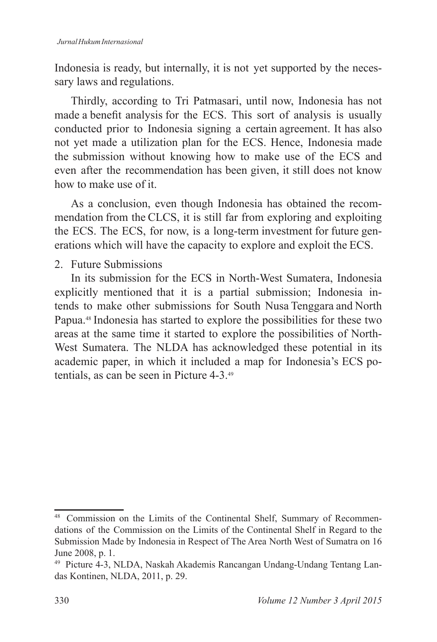Indonesia is ready, but internally, it is not yet supported by the necessary laws and regulations.

Thirdly, according to Tri Patmasari, until now, Indonesia has not made a benefit analysis for the ECS. This sort of analysis is usually conducted prior to Indonesia signing a certain agreement. It has also not yet made a utilization plan for the ECS. Hence, Indonesia made the submission without knowing how to make use of the ECS and even after the recommendation has been given, it still does not know how to make use of it.

As a conclusion, even though Indonesia has obtained the recommendation from the CLCS, it is still far from exploring and exploiting the ECS. The ECS, for now, is a long-term investment for future generations which will have the capacity to explore and exploit the ECS.

### 2 Future Submissions

In its submission for the ECS in North-West Sumatera, Indonesia explicitly mentioned that it is a partial submission; Indonesia intends to make other submissions for South Nusa Tenggara and North Papua.<sup>48</sup> Indonesia has started to explore the possibilities for these two areas at the same time it started to explore the possibilities of North-West Sumatera. The NLDA has acknowledged these potential in its academic paper, in which it included a map for Indonesia's ECS potentials, as can be seen in Picture 4-3.<sup>49</sup>

<sup>&</sup>lt;sup>48</sup> Commission on the Limits of the Continental Shelf, Summary of Recommendations of the Commission on the Limits of the Continental Shelf in Regard to the Submission Made by Indonesia in Respect of The Area North West of Sumatra on 16 June 2008, p. 1.

<sup>49</sup> Picture 4-3, NLDA, Naskah Akademis Rancangan Undang-Undang Tentang Landas Kontinen, NLDA, 2011, p. 29.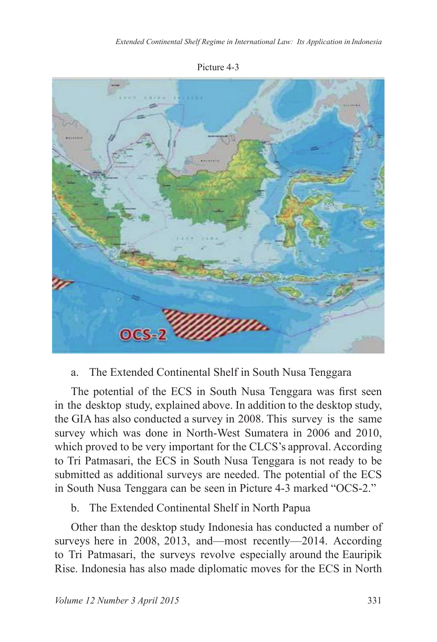Picture 4-3



### a. The Extended Continental Shelf in South Nusa Tenggara

The potential of the ECS in South Nusa Tenggara was first seen in the desktop study, explained above. In addition to the desktop study, the GIA has also conducted a survey in 2008. This survey is the same survey which was done in North-West Sumatera in 2006 and 2010, which proved to be very important for the CLCS's approval. According to Tri Patmasari, the ECS in South Nusa Tenggara is not ready to be submitted as additional surveys are needed. The potential of the ECS in South Nusa Tenggara can be seen in Picture 4-3 marked "OCS-2."

### b. The Extended Continental Shelf in North Papua

Other than the desktop study Indonesia has conducted a number of surveys here in 2008, 2013, and—most recently— $2014$ . According to Tri Patmasari, the surveys revolve especially around the Eauripik Rise. Indonesia has also made diplomatic moves for the ECS in North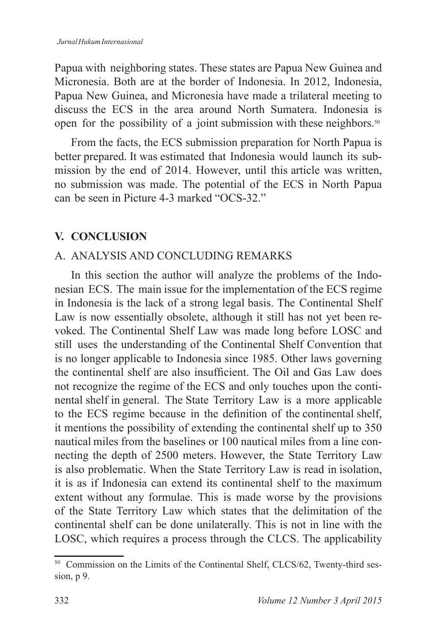Papua with neighboring states. These states are Papua New Guinea and Micronesia. Both are at the border of Indonesia. In 2012, Indonesia, Papua New Guinea, and Micronesia have made a trilateral meeting to discuss the ECS in the area around North Sumatera. Indonesia is open for the possibility of a joint submission with these neighbors.

From the facts, the ECS submission preparation for North Papua is better prepared. It was estimated that Indonesia would launch its submission by the end of 2014. However, until this article was written, no submission was made. The potential of the ECS in North Papua can be seen in Picture 4-3 marked "OCS-32."

# **V. CONCLUSION**

# A. ANALYSIS AND CONCLUDING REMARKS

In this section the author will analyze the problems of the Indonesian ECS. The main issue for the implementation of the ECS regime in Indonesia is the lack of a strong legal basis. The Continental Shelf Law is now essentially obsolete, although it still has not yet been revoked. The Continental Shelf Law was made long before LOSC and still uses the understanding of the Continental Shelf Convention that is no longer applicable to Indonesia since 1985. Other laws governing the continental shelf are also insufficient. The Oil and Gas Law does not recognize the regime of the ECS and only touches upon the continental shelf in general. The State Territory Law is a more applicable to the ECS regime because in the definition of the continental shelf, it mentions the possibility of extending the continental shelf up to 350 nautical miles from the baselines or 100 nautical miles from a line connecting the depth of 2500 meters. However, the State Territory Law is also problematic. When the State Territory Law is read in isolation, it is as if Indonesia can extend its continental shelf to the maximum extent without any formulae. This is made worse by the provisions of the State Territory Law which states that the delimitation of the continental shelf can be done unilaterally. This is not in line with the LOSC, which requires a process through the CLCS. The applicability

 $50$  Commission on the Limits of the Continental Shelf, CLCS/62, Twenty-third session, p 9.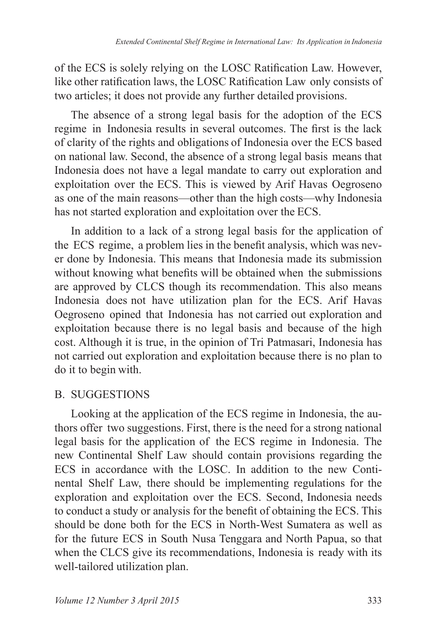of the ECS is solely relying on the LOSC Ratification Law. However, like other ratification laws, the LOSC Ratification Law only consists of two articles; it does not provide any further detailed provisions.

The absence of a strong legal basis for the adoption of the ECS regime in Indonesia results in several outcomes. The first is the lack of clarity of the rights and obligations of Indonesia over the ECS based on national law. Second, the absence of a strong legal basis means that Indonesia does not have a legal mandate to carry out exploration and exploitation over the ECS. This is viewed by Arif Havas Oegroseno as one of the main reasons—other than the high costs—why Indonesia has not started exploration and exploitation over the ECS.

In addition to a lack of a strong legal basis for the application of the ECS regime, a problem lies in the benefit analysis, which was never done by Indonesia. This means that Indonesia made its submission without knowing what benefits will be obtained when the submissions are approved by CLCS though its recommendation. This also means Indonesia does not have utilization plan for the ECS. Arif Havas Oegroseno opined that Indonesia has not carried out exploration and exploitation because there is no legal basis and because of the high cost. Although it is true, in the opinion of Tri Patmasari, Indonesia has not carried out exploration and exploitation because there is no plan to do it to begin with.

### B. SUGGESTIONS

Looking at the application of the ECS regime in Indonesia, the authors offer two suggestions. First, there is the need for a strong national legal basis for the application of the ECS regime in Indonesia. The new Continental Shelf Law should contain provisions regarding the ECS in accordance with the LOSC. In addition to the new Continental Shelf Law, there should be implementing regulations for the exploration and exploitation over the ECS. Second, Indonesia needs to conduct a study or analysis for the benefit of obtaining the ECS. This should be done both for the ECS in North-West Sumatera as well as for the future ECS in South Nusa Tenggara and North Papua, so that when the CLCS give its recommendations, Indonesia is ready with its well-tailored utilization plan.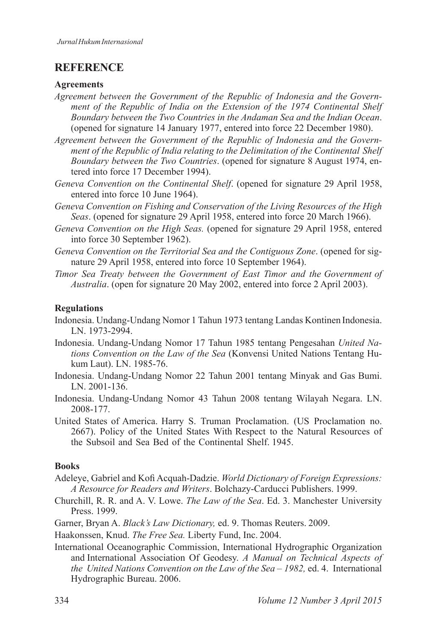### **REFERENCE**

#### **Agreements**

- *Agreement between the Government of the Republic of Indonesia and the Government of the Republic of India on the Extension of the 1974 Continental Shelf Boundary between the Two Countries in the Andaman Sea and the Indian Ocean*. (opened for signature 14 January 1977, entered into force 22 December 1980).
- *Agreement between the Government of the Republic of Indonesia and the Government of the Republic of India relating to the Delimitation of the Continental Shelf Boundary between the Two Countries.* (opened for signature 8 August 1974, entered into force 17 December 1994).
- *Geneva Convention on the Continental Shelf.* (opened for signature 29 April 1958, entered into force 10 June 1964).
- *Geneva Convention on Fishing and Conservation of the Living Resources of the High Seas*. (opened for signature 29 April 1958, entered into force 20 March 1966).
- *Geneva Convention on the High Seas.* (opened for signature 29 April 1958, entered into force 30 September 1962).
- *Geneva Convention on the Territorial Sea and the Contiguous Zone*. (opened for signature 29 April 1958, entered into force 10 September 1964).
- *Timor Sea Treaty between the Government of East Timor and the Government of Australia*. (open for signature 20 May 2002, entered into force 2 April 2003).

#### **Regulations**

- Indonesia. Undang-Undang Nomor 1 Tahun 1973 tentang Landas Kontinen Indonesia. LN. 1973-2994.
- Indonesia. Undang-Undang Nomor 17 Tahun 1985 tentang Pengesahan United Na*tions Convention on the Law of the Sea* (Konvensi United Nations Tentang Hukum Laut). LN. 1985-76.
- Indonesia. Undang-Undang Nomor 22 Tahun 2001 tentang Minyak and Gas Bumi. LN. 2001-136.
- Indonesia. Undang-Undang Nomor 43 Tahun 2008 tentang Wilayah Negara. LN. 2008-177.
- United States of America. Harry S. Truman Proclamation. (US Proclamation no. 2667). Policy of the United States With Respect to the Natural Resources of the Subsoil and Sea Bed of the Continental Shelf 1945.

#### **Books**

- $A$ deleve, Gabriel and Kofi Acquah-Dadzie. *World Dictionary of Foreign Expressions: A Resource for Readers and Writers*. Bolchazy-Carducci Publishers. 1999.
- Churchill, R. R. and A. V. Lowe. *The Law of the Sea*. Ed. 3. Manchester University Press. 1999.
- Garner, Bryan A. *Black's Law Dictionary*, ed. 9. Thomas Reuters. 2009.
- Haakonssen, Knud. *The Free Sea*. Liberty Fund, Inc. 2004.
- International Oceanographic Commission, International Hydrographic Organization and International Association Of Geodesy. *A Manual on Technical Aspects of the United Nations Convention on the Law of the Sea - 1982, ed. 4. International* Hydrographic Bureau. 2006.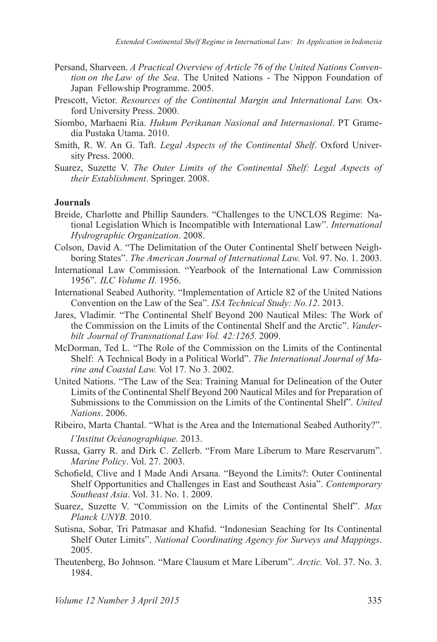- Persand, Sharveen. *A Practical Overview of Article 76 of the United Nations Convention on the Law of the Sea*. The United Nations - The Nippon Foundation of Japan Fellowship Programme. 2005.
- Prescott, Victor. Resources of the Continental Margin and International Law. Oxford University Press. 2000.
- Siombo, Marhaeni Ria. *Hukum Perikanan Nasional and Internasional*. PT Gramedia Pustaka Utama, 2010.
- Smith, R. W. An G. Taft. *Legal Aspects of the Continental Shelf*. Oxford University Press. 2000.
- Suarez, Suzette V. The Outer Limits of the Continental Shelf: Legal Aspects of *their Establishment*. Springer. 2008.

#### **Journals**

- Breide, Charlotte and Phillip Saunders. "Challenges to the UNCLOS Regime: National Legislation Which is Incompatible with International Law". *International Hydrographic Organization*
- Colson, David A. "The Delimitation of the Outer Continental Shelf between Neighboring States". *The American Journal of International Law.* Vol. 97. No. 1. 2003.
- International Law Commission. "Yearbook of the International Law Commission ¥*ILC Volume II.*
- International Seabed Authority. "Implementation of Article 82 of the United Nations Convention on the Law of the Sea". *ISA Technical Study: No.12*
- Jares, Vladimir. "The Continental Shelf Beyond 200 Nautical Miles: The Work of the Commission on the Limits of the Continental Shelf and the Arctic". *Vanderbilt Journal of Transnational Law Vol. 42:1265. 2009.*
- McDorman, Ted L. "The Role of the Commission on the Limits of the Continental Shelf: A Technical Body in a Political World". *The International Journal of Marine and Coastal Law.* Vol 17, No 3, 2002.
- United Nations. "The Law of the Sea: Training Manual for Delineation of the Outer Limits of the Continental Shelf Beyond 200 Nautical Miles and for Preparation of Submissions to the Commission on the Limits of the Continental Shelf". *United Nations*
- Ribeiro, Marta Chantal. "What is the Area and the International Seabed Authority?". *l'Institut Océanographique.*
- Russa, Garry R. and Dirk C. Zellerb. "From Mare Liberum to Mare Reservarum". *Marine Policy. Vol. 27. 2003.*
- Schofield, Clive and I Made Andi Arsana. "Beyond the Limits?: Outer Continental Shelf Opportunities and Challenges in East and Southeast Asia". *Contemporary Southeast Asia.* Vol. 31. No. 1. 2009.
- Suarez, Suzette V. "Commission on the Limits of the Continental Shelf". Max *Planck UNYB.*
- Sutisna, Sobar, Tri Patmasar and Khafid. "Indonesian Seaching for Its Continental Shelf Outer Limits". *National Coordinating Agency for Surveys and Mappings*. 2005
- Theutenberg, Bo Johnson. "Mare Clausum et Mare Liberum". Arctic. Vol. 37. No. 3. 1984.